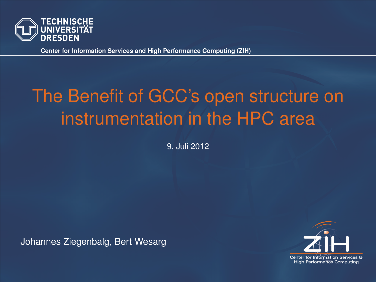

# The Benefit of GCC's open structure on instrumentation in the HPC area

9. Juli 2012

Johannes Ziegenbalg, Bert Wesarg

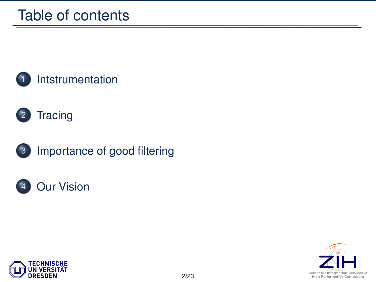









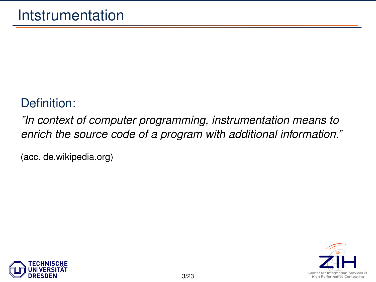#### Definition:

*"In context of computer programming, instrumentation means to enrich the source code of a program with additional information."*

(acc. [de.wikipedia.org\)](http://de.wikipedia.org/wiki/Instrumentierung_(Softwareentwicklung))

<span id="page-2-0"></span>

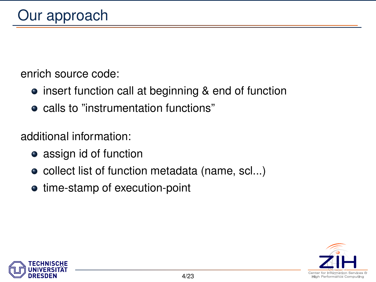enrich source code:

- insert function call at beginning & end of function
- calls to "instrumentation functions"

additional information:

- assign id of function
- collect list of function metadata (name, scl...)
- time-stamp of execution-point



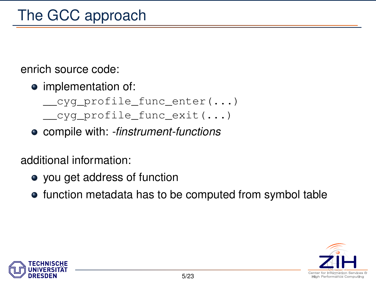enrich source code:

• implementation of:

```
cyg profile func enter(...)
cyg profile func exit(...)
```
compile with: *-finstrument-functions*

additional information:

- you get address of function
- function metadata has to be computed from symbol table



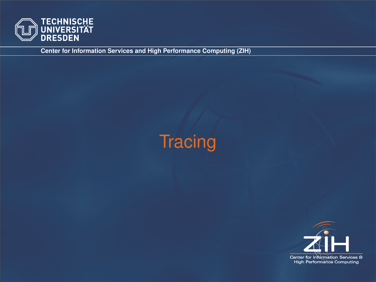

# <span id="page-5-0"></span>**Tracing**

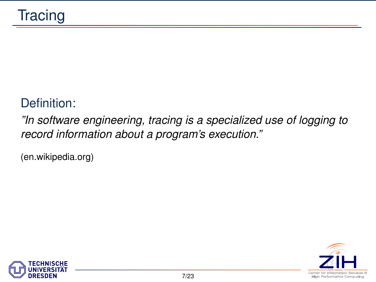#### Definition:

*"In software engineering, tracing is a specialized use of logging to record information about a program's execution."*

[\(en.wikipedia.org\)](http://en.wikipedia.org/wiki/Tracing_(software))



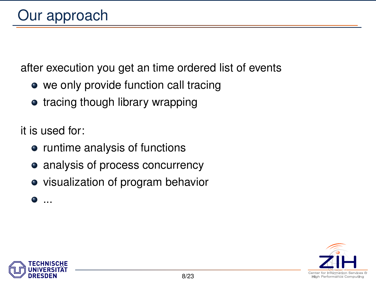after execution you get an time ordered list of events

- we only provide function call tracing
- tracing though library wrapping

it is used for:

- runtime analysis of functions
- analysis of process concurrency
- visualization of program behavior

 $\blacksquare$ ...



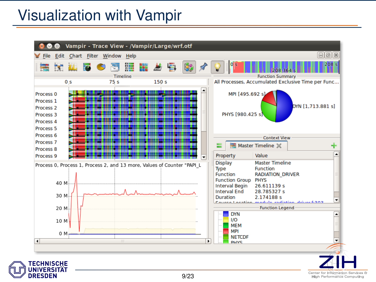### Visualization with Vampir

**DRESDEN** 

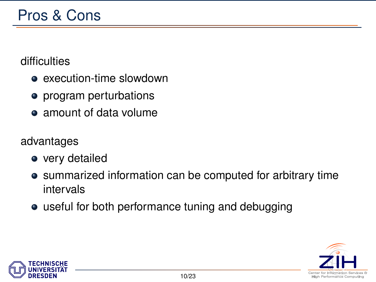#### difficulties

- **e** execution-time slowdown
- program perturbations
- amount of data volume

#### advantages

- very detailed
- summarized information can be computed for arbitrary time intervals
- useful for both performance tuning and debugging



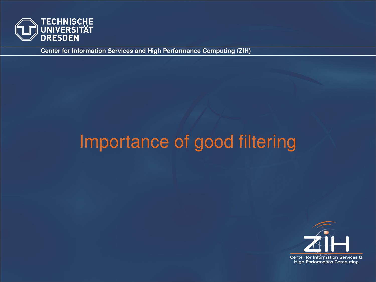

## <span id="page-10-0"></span>Importance of good filtering

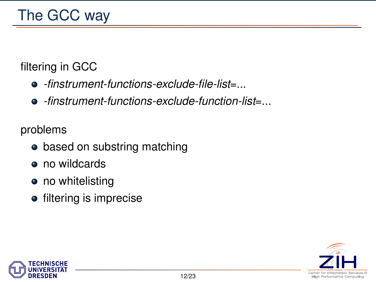#### filtering in GCC

- *-finstrument-functions-exclude-file-list*=...
- *-finstrument-functions-exclude-function-list*=...

problems

- based on substring matching
- no wildcards
- no whitelisting
- **•** filtering is imprecise



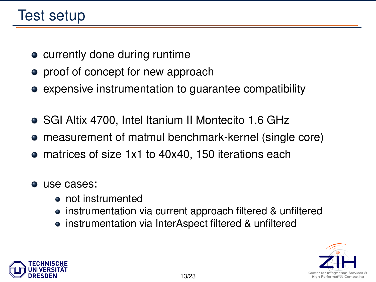### Test setup

- currently done during runtime
- proof of concept for new approach
- expensive instrumentation to guarantee compatibility
- SGI Altix 4700, Intel Itanium II Montecito 1.6 GHz
- measurement of matmul benchmark-kernel (single core)
- matrices of size 1x1 to 40x40, 150 iterations each
- use cases:
	- not instrumented
	- instrumentation via current approach filtered & unfiltered
	- instrumentation via InterAspect filtered & unfiltered



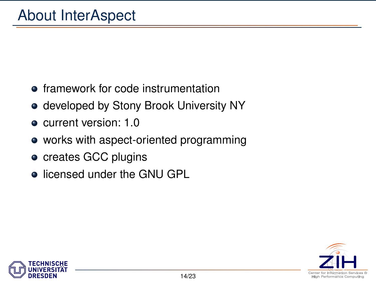- **•** framework for code instrumentation
- **developed by Stony Brook University NY**
- current version: 1.0
- works with aspect-oriented programming
- creates GCC plugins
- **.** licensed under the GNU GPL



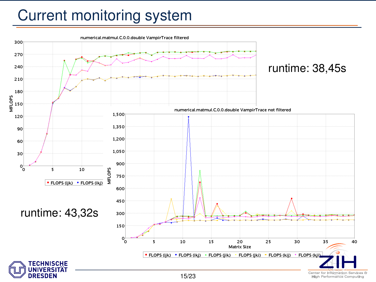### Current monitoring system

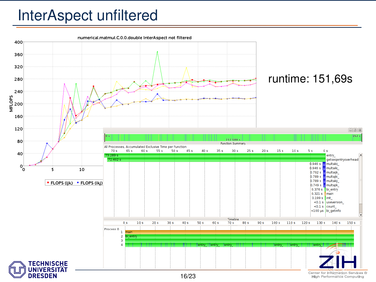### InterAspect unfiltered

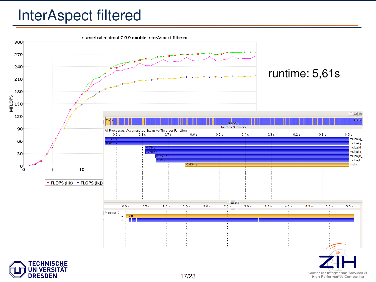### InterAspect filtered



**High Performance Computing**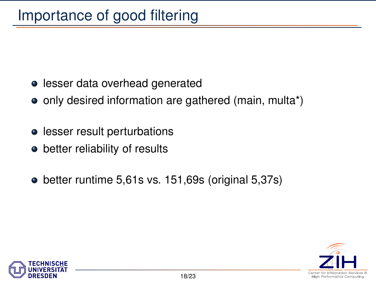- lesser data overhead generated
- only desired information are gathered (main, multa\*)
- **•** lesser result perturbations
- better reliability of results
- better runtime 5,61s vs. 151,69s (original 5,37s)



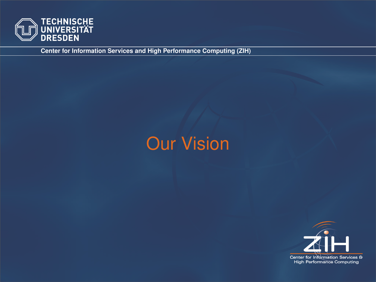

## <span id="page-18-0"></span>Our Vision

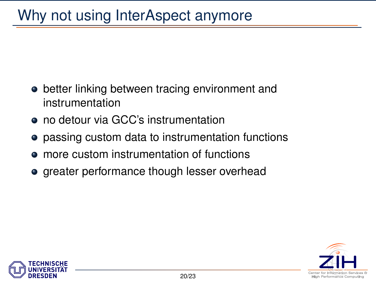- better linking between tracing environment and instrumentation
- no detour via GCC's instrumentation
- **passing custom data to instrumentation functions**
- more custom instrumentation of functions
- greater performance though lesser overhead



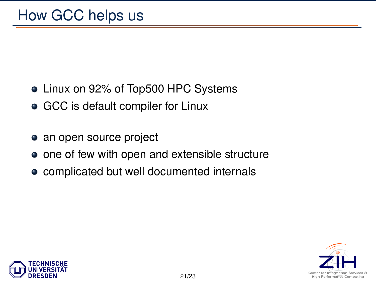- Linux on 92% of Top500 HPC Systems
- GCC is default compiler for Linux
- an open source project
- one of few with open and extensible structure
- complicated but well documented internals



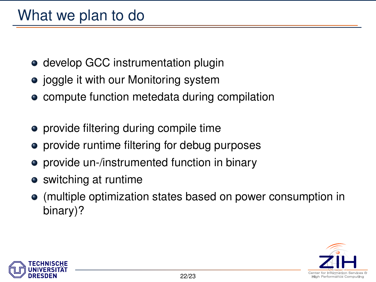### What we plan to do

- develop GCC instrumentation plugin
- joggle it with our Monitoring system
- compute function metedata during compilation
- provide filtering during compile time
- **•** provide runtime filtering for debug purposes
- provide un-/instrumented function in binary
- switching at runtime
- (multiple optimization states based on power consumption in binary)?